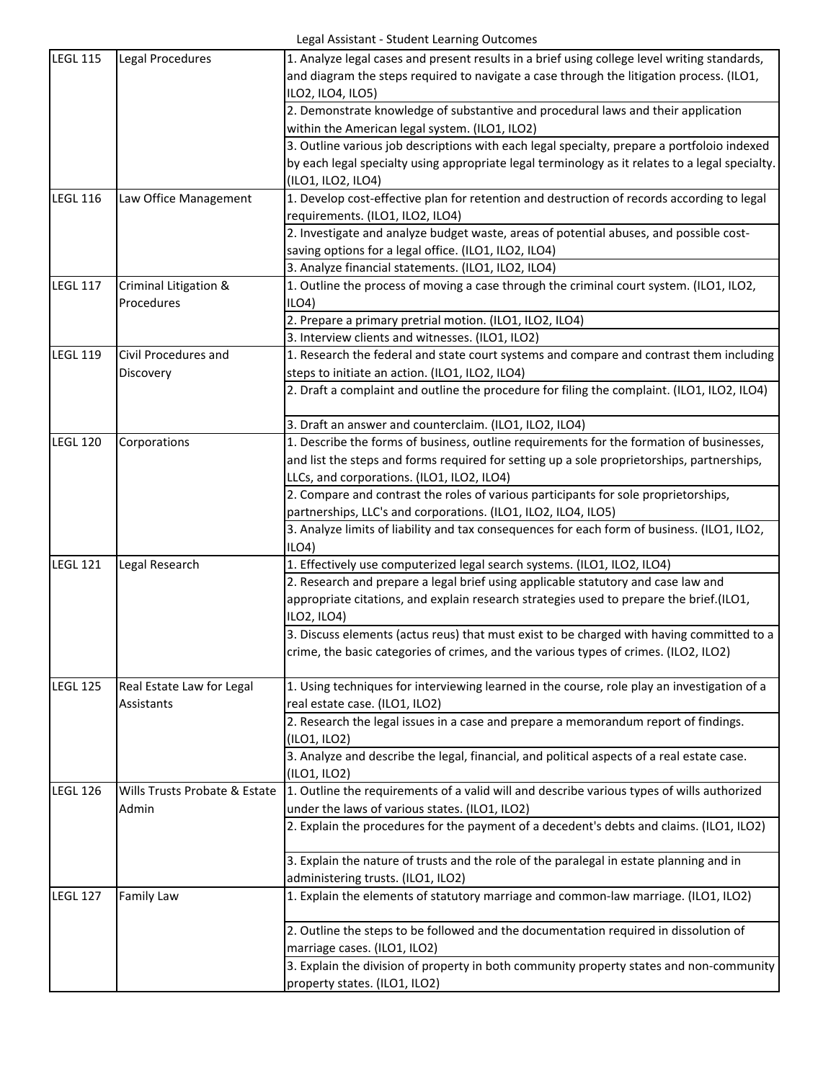| and diagram the steps required to navigate a case through the litigation process. (ILO1,<br>ILO2, ILO4, ILO5)<br>2. Demonstrate knowledge of substantive and procedural laws and their application<br>within the American legal system. (ILO1, ILO2)<br>3. Outline various job descriptions with each legal specialty, prepare a portfoloio indexed<br>by each legal specialty using appropriate legal terminology as it relates to a legal specialty.<br>(ILO1, ILO2, ILO4)<br>1. Develop cost-effective plan for retention and destruction of records according to legal<br><b>LEGL 116</b><br>Law Office Management<br>requirements. (ILO1, ILO2, ILO4)<br>2. Investigate and analyze budget waste, areas of potential abuses, and possible cost-<br>saving options for a legal office. (ILO1, ILO2, ILO4)<br>3. Analyze financial statements. (ILO1, ILO2, ILO4)<br><b>LEGL 117</b><br>1. Outline the process of moving a case through the criminal court system. (ILO1, ILO2,<br>Criminal Litigation &<br>Procedures<br>ILO4<br>2. Prepare a primary pretrial motion. (ILO1, ILO2, ILO4)<br>3. Interview clients and witnesses. (ILO1, ILO2)<br><b>LEGL 119</b><br>1. Research the federal and state court systems and compare and contrast them including<br>Civil Procedures and<br>steps to initiate an action. (ILO1, ILO2, ILO4)<br>Discovery<br>2. Draft a complaint and outline the procedure for filing the complaint. (ILO1, ILO2, ILO4)<br>3. Draft an answer and counterclaim. (ILO1, ILO2, ILO4)<br><b>LEGL 120</b><br>Corporations<br>1. Describe the forms of business, outline requirements for the formation of businesses,<br>and list the steps and forms required for setting up a sole proprietorships, partnerships,<br>LLCs, and corporations. (ILO1, ILO2, ILO4)<br>2. Compare and contrast the roles of various participants for sole proprietorships,<br>partnerships, LLC's and corporations. (ILO1, ILO2, ILO4, ILO5)<br>3. Analyze limits of liability and tax consequences for each form of business. (ILO1, ILO2,<br>ILO4)<br><b>LEGL 121</b><br>Legal Research<br>1. Effectively use computerized legal search systems. (ILO1, ILO2, ILO4)<br>2. Research and prepare a legal brief using applicable statutory and case law and<br>appropriate citations, and explain research strategies used to prepare the brief.(ILO1,<br>ILO2, ILO4)<br>3. Discuss elements (actus reus) that must exist to be charged with having committed to a<br>crime, the basic categories of crimes, and the various types of crimes. (ILO2, ILO2)<br>1. Using techniques for interviewing learned in the course, role play an investigation of a<br><b>LEGL 125</b><br>Real Estate Law for Legal<br>real estate case. (ILO1, ILO2)<br>Assistants<br>2. Research the legal issues in a case and prepare a memorandum report of findings.<br>(ILO1, ILO2)<br>3. Analyze and describe the legal, financial, and political aspects of a real estate case.<br>(ILO1, ILO2)<br><b>LEGL 126</b><br>1. Outline the requirements of a valid will and describe various types of wills authorized<br>Wills Trusts Probate & Estate<br>under the laws of various states. (ILO1, ILO2)<br>Admin<br>2. Explain the procedures for the payment of a decedent's debts and claims. (ILO1, ILO2) | <b>LEGL 115</b> | Legal Procedures | 1. Analyze legal cases and present results in a brief using college level writing standards, |
|-------------------------------------------------------------------------------------------------------------------------------------------------------------------------------------------------------------------------------------------------------------------------------------------------------------------------------------------------------------------------------------------------------------------------------------------------------------------------------------------------------------------------------------------------------------------------------------------------------------------------------------------------------------------------------------------------------------------------------------------------------------------------------------------------------------------------------------------------------------------------------------------------------------------------------------------------------------------------------------------------------------------------------------------------------------------------------------------------------------------------------------------------------------------------------------------------------------------------------------------------------------------------------------------------------------------------------------------------------------------------------------------------------------------------------------------------------------------------------------------------------------------------------------------------------------------------------------------------------------------------------------------------------------------------------------------------------------------------------------------------------------------------------------------------------------------------------------------------------------------------------------------------------------------------------------------------------------------------------------------------------------------------------------------------------------------------------------------------------------------------------------------------------------------------------------------------------------------------------------------------------------------------------------------------------------------------------------------------------------------------------------------------------------------------------------------------------------------------------------------------------------------------------------------------------------------------------------------------------------------------------------------------------------------------------------------------------------------------------------------------------------------------------------------------------------------------------------------------------------------------------------------------------------------------------------------------------------------------------------------------------------------------------------------------------------------------------------------------------------------------------------------------------------------------------------------------------------------------------------------------------------------------------------------------|-----------------|------------------|----------------------------------------------------------------------------------------------|
|                                                                                                                                                                                                                                                                                                                                                                                                                                                                                                                                                                                                                                                                                                                                                                                                                                                                                                                                                                                                                                                                                                                                                                                                                                                                                                                                                                                                                                                                                                                                                                                                                                                                                                                                                                                                                                                                                                                                                                                                                                                                                                                                                                                                                                                                                                                                                                                                                                                                                                                                                                                                                                                                                                                                                                                                                                                                                                                                                                                                                                                                                                                                                                                                                                                                                                 |                 |                  |                                                                                              |
|                                                                                                                                                                                                                                                                                                                                                                                                                                                                                                                                                                                                                                                                                                                                                                                                                                                                                                                                                                                                                                                                                                                                                                                                                                                                                                                                                                                                                                                                                                                                                                                                                                                                                                                                                                                                                                                                                                                                                                                                                                                                                                                                                                                                                                                                                                                                                                                                                                                                                                                                                                                                                                                                                                                                                                                                                                                                                                                                                                                                                                                                                                                                                                                                                                                                                                 |                 |                  |                                                                                              |
|                                                                                                                                                                                                                                                                                                                                                                                                                                                                                                                                                                                                                                                                                                                                                                                                                                                                                                                                                                                                                                                                                                                                                                                                                                                                                                                                                                                                                                                                                                                                                                                                                                                                                                                                                                                                                                                                                                                                                                                                                                                                                                                                                                                                                                                                                                                                                                                                                                                                                                                                                                                                                                                                                                                                                                                                                                                                                                                                                                                                                                                                                                                                                                                                                                                                                                 |                 |                  |                                                                                              |
|                                                                                                                                                                                                                                                                                                                                                                                                                                                                                                                                                                                                                                                                                                                                                                                                                                                                                                                                                                                                                                                                                                                                                                                                                                                                                                                                                                                                                                                                                                                                                                                                                                                                                                                                                                                                                                                                                                                                                                                                                                                                                                                                                                                                                                                                                                                                                                                                                                                                                                                                                                                                                                                                                                                                                                                                                                                                                                                                                                                                                                                                                                                                                                                                                                                                                                 |                 |                  |                                                                                              |
|                                                                                                                                                                                                                                                                                                                                                                                                                                                                                                                                                                                                                                                                                                                                                                                                                                                                                                                                                                                                                                                                                                                                                                                                                                                                                                                                                                                                                                                                                                                                                                                                                                                                                                                                                                                                                                                                                                                                                                                                                                                                                                                                                                                                                                                                                                                                                                                                                                                                                                                                                                                                                                                                                                                                                                                                                                                                                                                                                                                                                                                                                                                                                                                                                                                                                                 |                 |                  |                                                                                              |
|                                                                                                                                                                                                                                                                                                                                                                                                                                                                                                                                                                                                                                                                                                                                                                                                                                                                                                                                                                                                                                                                                                                                                                                                                                                                                                                                                                                                                                                                                                                                                                                                                                                                                                                                                                                                                                                                                                                                                                                                                                                                                                                                                                                                                                                                                                                                                                                                                                                                                                                                                                                                                                                                                                                                                                                                                                                                                                                                                                                                                                                                                                                                                                                                                                                                                                 |                 |                  |                                                                                              |
|                                                                                                                                                                                                                                                                                                                                                                                                                                                                                                                                                                                                                                                                                                                                                                                                                                                                                                                                                                                                                                                                                                                                                                                                                                                                                                                                                                                                                                                                                                                                                                                                                                                                                                                                                                                                                                                                                                                                                                                                                                                                                                                                                                                                                                                                                                                                                                                                                                                                                                                                                                                                                                                                                                                                                                                                                                                                                                                                                                                                                                                                                                                                                                                                                                                                                                 |                 |                  |                                                                                              |
|                                                                                                                                                                                                                                                                                                                                                                                                                                                                                                                                                                                                                                                                                                                                                                                                                                                                                                                                                                                                                                                                                                                                                                                                                                                                                                                                                                                                                                                                                                                                                                                                                                                                                                                                                                                                                                                                                                                                                                                                                                                                                                                                                                                                                                                                                                                                                                                                                                                                                                                                                                                                                                                                                                                                                                                                                                                                                                                                                                                                                                                                                                                                                                                                                                                                                                 |                 |                  |                                                                                              |
|                                                                                                                                                                                                                                                                                                                                                                                                                                                                                                                                                                                                                                                                                                                                                                                                                                                                                                                                                                                                                                                                                                                                                                                                                                                                                                                                                                                                                                                                                                                                                                                                                                                                                                                                                                                                                                                                                                                                                                                                                                                                                                                                                                                                                                                                                                                                                                                                                                                                                                                                                                                                                                                                                                                                                                                                                                                                                                                                                                                                                                                                                                                                                                                                                                                                                                 |                 |                  |                                                                                              |
|                                                                                                                                                                                                                                                                                                                                                                                                                                                                                                                                                                                                                                                                                                                                                                                                                                                                                                                                                                                                                                                                                                                                                                                                                                                                                                                                                                                                                                                                                                                                                                                                                                                                                                                                                                                                                                                                                                                                                                                                                                                                                                                                                                                                                                                                                                                                                                                                                                                                                                                                                                                                                                                                                                                                                                                                                                                                                                                                                                                                                                                                                                                                                                                                                                                                                                 |                 |                  |                                                                                              |
|                                                                                                                                                                                                                                                                                                                                                                                                                                                                                                                                                                                                                                                                                                                                                                                                                                                                                                                                                                                                                                                                                                                                                                                                                                                                                                                                                                                                                                                                                                                                                                                                                                                                                                                                                                                                                                                                                                                                                                                                                                                                                                                                                                                                                                                                                                                                                                                                                                                                                                                                                                                                                                                                                                                                                                                                                                                                                                                                                                                                                                                                                                                                                                                                                                                                                                 |                 |                  |                                                                                              |
|                                                                                                                                                                                                                                                                                                                                                                                                                                                                                                                                                                                                                                                                                                                                                                                                                                                                                                                                                                                                                                                                                                                                                                                                                                                                                                                                                                                                                                                                                                                                                                                                                                                                                                                                                                                                                                                                                                                                                                                                                                                                                                                                                                                                                                                                                                                                                                                                                                                                                                                                                                                                                                                                                                                                                                                                                                                                                                                                                                                                                                                                                                                                                                                                                                                                                                 |                 |                  |                                                                                              |
|                                                                                                                                                                                                                                                                                                                                                                                                                                                                                                                                                                                                                                                                                                                                                                                                                                                                                                                                                                                                                                                                                                                                                                                                                                                                                                                                                                                                                                                                                                                                                                                                                                                                                                                                                                                                                                                                                                                                                                                                                                                                                                                                                                                                                                                                                                                                                                                                                                                                                                                                                                                                                                                                                                                                                                                                                                                                                                                                                                                                                                                                                                                                                                                                                                                                                                 |                 |                  |                                                                                              |
|                                                                                                                                                                                                                                                                                                                                                                                                                                                                                                                                                                                                                                                                                                                                                                                                                                                                                                                                                                                                                                                                                                                                                                                                                                                                                                                                                                                                                                                                                                                                                                                                                                                                                                                                                                                                                                                                                                                                                                                                                                                                                                                                                                                                                                                                                                                                                                                                                                                                                                                                                                                                                                                                                                                                                                                                                                                                                                                                                                                                                                                                                                                                                                                                                                                                                                 |                 |                  |                                                                                              |
|                                                                                                                                                                                                                                                                                                                                                                                                                                                                                                                                                                                                                                                                                                                                                                                                                                                                                                                                                                                                                                                                                                                                                                                                                                                                                                                                                                                                                                                                                                                                                                                                                                                                                                                                                                                                                                                                                                                                                                                                                                                                                                                                                                                                                                                                                                                                                                                                                                                                                                                                                                                                                                                                                                                                                                                                                                                                                                                                                                                                                                                                                                                                                                                                                                                                                                 |                 |                  |                                                                                              |
|                                                                                                                                                                                                                                                                                                                                                                                                                                                                                                                                                                                                                                                                                                                                                                                                                                                                                                                                                                                                                                                                                                                                                                                                                                                                                                                                                                                                                                                                                                                                                                                                                                                                                                                                                                                                                                                                                                                                                                                                                                                                                                                                                                                                                                                                                                                                                                                                                                                                                                                                                                                                                                                                                                                                                                                                                                                                                                                                                                                                                                                                                                                                                                                                                                                                                                 |                 |                  |                                                                                              |
|                                                                                                                                                                                                                                                                                                                                                                                                                                                                                                                                                                                                                                                                                                                                                                                                                                                                                                                                                                                                                                                                                                                                                                                                                                                                                                                                                                                                                                                                                                                                                                                                                                                                                                                                                                                                                                                                                                                                                                                                                                                                                                                                                                                                                                                                                                                                                                                                                                                                                                                                                                                                                                                                                                                                                                                                                                                                                                                                                                                                                                                                                                                                                                                                                                                                                                 |                 |                  |                                                                                              |
|                                                                                                                                                                                                                                                                                                                                                                                                                                                                                                                                                                                                                                                                                                                                                                                                                                                                                                                                                                                                                                                                                                                                                                                                                                                                                                                                                                                                                                                                                                                                                                                                                                                                                                                                                                                                                                                                                                                                                                                                                                                                                                                                                                                                                                                                                                                                                                                                                                                                                                                                                                                                                                                                                                                                                                                                                                                                                                                                                                                                                                                                                                                                                                                                                                                                                                 |                 |                  |                                                                                              |
|                                                                                                                                                                                                                                                                                                                                                                                                                                                                                                                                                                                                                                                                                                                                                                                                                                                                                                                                                                                                                                                                                                                                                                                                                                                                                                                                                                                                                                                                                                                                                                                                                                                                                                                                                                                                                                                                                                                                                                                                                                                                                                                                                                                                                                                                                                                                                                                                                                                                                                                                                                                                                                                                                                                                                                                                                                                                                                                                                                                                                                                                                                                                                                                                                                                                                                 |                 |                  |                                                                                              |
|                                                                                                                                                                                                                                                                                                                                                                                                                                                                                                                                                                                                                                                                                                                                                                                                                                                                                                                                                                                                                                                                                                                                                                                                                                                                                                                                                                                                                                                                                                                                                                                                                                                                                                                                                                                                                                                                                                                                                                                                                                                                                                                                                                                                                                                                                                                                                                                                                                                                                                                                                                                                                                                                                                                                                                                                                                                                                                                                                                                                                                                                                                                                                                                                                                                                                                 |                 |                  |                                                                                              |
|                                                                                                                                                                                                                                                                                                                                                                                                                                                                                                                                                                                                                                                                                                                                                                                                                                                                                                                                                                                                                                                                                                                                                                                                                                                                                                                                                                                                                                                                                                                                                                                                                                                                                                                                                                                                                                                                                                                                                                                                                                                                                                                                                                                                                                                                                                                                                                                                                                                                                                                                                                                                                                                                                                                                                                                                                                                                                                                                                                                                                                                                                                                                                                                                                                                                                                 |                 |                  |                                                                                              |
|                                                                                                                                                                                                                                                                                                                                                                                                                                                                                                                                                                                                                                                                                                                                                                                                                                                                                                                                                                                                                                                                                                                                                                                                                                                                                                                                                                                                                                                                                                                                                                                                                                                                                                                                                                                                                                                                                                                                                                                                                                                                                                                                                                                                                                                                                                                                                                                                                                                                                                                                                                                                                                                                                                                                                                                                                                                                                                                                                                                                                                                                                                                                                                                                                                                                                                 |                 |                  |                                                                                              |
|                                                                                                                                                                                                                                                                                                                                                                                                                                                                                                                                                                                                                                                                                                                                                                                                                                                                                                                                                                                                                                                                                                                                                                                                                                                                                                                                                                                                                                                                                                                                                                                                                                                                                                                                                                                                                                                                                                                                                                                                                                                                                                                                                                                                                                                                                                                                                                                                                                                                                                                                                                                                                                                                                                                                                                                                                                                                                                                                                                                                                                                                                                                                                                                                                                                                                                 |                 |                  |                                                                                              |
|                                                                                                                                                                                                                                                                                                                                                                                                                                                                                                                                                                                                                                                                                                                                                                                                                                                                                                                                                                                                                                                                                                                                                                                                                                                                                                                                                                                                                                                                                                                                                                                                                                                                                                                                                                                                                                                                                                                                                                                                                                                                                                                                                                                                                                                                                                                                                                                                                                                                                                                                                                                                                                                                                                                                                                                                                                                                                                                                                                                                                                                                                                                                                                                                                                                                                                 |                 |                  |                                                                                              |
|                                                                                                                                                                                                                                                                                                                                                                                                                                                                                                                                                                                                                                                                                                                                                                                                                                                                                                                                                                                                                                                                                                                                                                                                                                                                                                                                                                                                                                                                                                                                                                                                                                                                                                                                                                                                                                                                                                                                                                                                                                                                                                                                                                                                                                                                                                                                                                                                                                                                                                                                                                                                                                                                                                                                                                                                                                                                                                                                                                                                                                                                                                                                                                                                                                                                                                 |                 |                  |                                                                                              |
|                                                                                                                                                                                                                                                                                                                                                                                                                                                                                                                                                                                                                                                                                                                                                                                                                                                                                                                                                                                                                                                                                                                                                                                                                                                                                                                                                                                                                                                                                                                                                                                                                                                                                                                                                                                                                                                                                                                                                                                                                                                                                                                                                                                                                                                                                                                                                                                                                                                                                                                                                                                                                                                                                                                                                                                                                                                                                                                                                                                                                                                                                                                                                                                                                                                                                                 |                 |                  |                                                                                              |
|                                                                                                                                                                                                                                                                                                                                                                                                                                                                                                                                                                                                                                                                                                                                                                                                                                                                                                                                                                                                                                                                                                                                                                                                                                                                                                                                                                                                                                                                                                                                                                                                                                                                                                                                                                                                                                                                                                                                                                                                                                                                                                                                                                                                                                                                                                                                                                                                                                                                                                                                                                                                                                                                                                                                                                                                                                                                                                                                                                                                                                                                                                                                                                                                                                                                                                 |                 |                  |                                                                                              |
|                                                                                                                                                                                                                                                                                                                                                                                                                                                                                                                                                                                                                                                                                                                                                                                                                                                                                                                                                                                                                                                                                                                                                                                                                                                                                                                                                                                                                                                                                                                                                                                                                                                                                                                                                                                                                                                                                                                                                                                                                                                                                                                                                                                                                                                                                                                                                                                                                                                                                                                                                                                                                                                                                                                                                                                                                                                                                                                                                                                                                                                                                                                                                                                                                                                                                                 |                 |                  |                                                                                              |
|                                                                                                                                                                                                                                                                                                                                                                                                                                                                                                                                                                                                                                                                                                                                                                                                                                                                                                                                                                                                                                                                                                                                                                                                                                                                                                                                                                                                                                                                                                                                                                                                                                                                                                                                                                                                                                                                                                                                                                                                                                                                                                                                                                                                                                                                                                                                                                                                                                                                                                                                                                                                                                                                                                                                                                                                                                                                                                                                                                                                                                                                                                                                                                                                                                                                                                 |                 |                  |                                                                                              |
|                                                                                                                                                                                                                                                                                                                                                                                                                                                                                                                                                                                                                                                                                                                                                                                                                                                                                                                                                                                                                                                                                                                                                                                                                                                                                                                                                                                                                                                                                                                                                                                                                                                                                                                                                                                                                                                                                                                                                                                                                                                                                                                                                                                                                                                                                                                                                                                                                                                                                                                                                                                                                                                                                                                                                                                                                                                                                                                                                                                                                                                                                                                                                                                                                                                                                                 |                 |                  |                                                                                              |
|                                                                                                                                                                                                                                                                                                                                                                                                                                                                                                                                                                                                                                                                                                                                                                                                                                                                                                                                                                                                                                                                                                                                                                                                                                                                                                                                                                                                                                                                                                                                                                                                                                                                                                                                                                                                                                                                                                                                                                                                                                                                                                                                                                                                                                                                                                                                                                                                                                                                                                                                                                                                                                                                                                                                                                                                                                                                                                                                                                                                                                                                                                                                                                                                                                                                                                 |                 |                  |                                                                                              |
|                                                                                                                                                                                                                                                                                                                                                                                                                                                                                                                                                                                                                                                                                                                                                                                                                                                                                                                                                                                                                                                                                                                                                                                                                                                                                                                                                                                                                                                                                                                                                                                                                                                                                                                                                                                                                                                                                                                                                                                                                                                                                                                                                                                                                                                                                                                                                                                                                                                                                                                                                                                                                                                                                                                                                                                                                                                                                                                                                                                                                                                                                                                                                                                                                                                                                                 |                 |                  |                                                                                              |
|                                                                                                                                                                                                                                                                                                                                                                                                                                                                                                                                                                                                                                                                                                                                                                                                                                                                                                                                                                                                                                                                                                                                                                                                                                                                                                                                                                                                                                                                                                                                                                                                                                                                                                                                                                                                                                                                                                                                                                                                                                                                                                                                                                                                                                                                                                                                                                                                                                                                                                                                                                                                                                                                                                                                                                                                                                                                                                                                                                                                                                                                                                                                                                                                                                                                                                 |                 |                  |                                                                                              |
|                                                                                                                                                                                                                                                                                                                                                                                                                                                                                                                                                                                                                                                                                                                                                                                                                                                                                                                                                                                                                                                                                                                                                                                                                                                                                                                                                                                                                                                                                                                                                                                                                                                                                                                                                                                                                                                                                                                                                                                                                                                                                                                                                                                                                                                                                                                                                                                                                                                                                                                                                                                                                                                                                                                                                                                                                                                                                                                                                                                                                                                                                                                                                                                                                                                                                                 |                 |                  |                                                                                              |
|                                                                                                                                                                                                                                                                                                                                                                                                                                                                                                                                                                                                                                                                                                                                                                                                                                                                                                                                                                                                                                                                                                                                                                                                                                                                                                                                                                                                                                                                                                                                                                                                                                                                                                                                                                                                                                                                                                                                                                                                                                                                                                                                                                                                                                                                                                                                                                                                                                                                                                                                                                                                                                                                                                                                                                                                                                                                                                                                                                                                                                                                                                                                                                                                                                                                                                 |                 |                  |                                                                                              |
|                                                                                                                                                                                                                                                                                                                                                                                                                                                                                                                                                                                                                                                                                                                                                                                                                                                                                                                                                                                                                                                                                                                                                                                                                                                                                                                                                                                                                                                                                                                                                                                                                                                                                                                                                                                                                                                                                                                                                                                                                                                                                                                                                                                                                                                                                                                                                                                                                                                                                                                                                                                                                                                                                                                                                                                                                                                                                                                                                                                                                                                                                                                                                                                                                                                                                                 |                 |                  |                                                                                              |
|                                                                                                                                                                                                                                                                                                                                                                                                                                                                                                                                                                                                                                                                                                                                                                                                                                                                                                                                                                                                                                                                                                                                                                                                                                                                                                                                                                                                                                                                                                                                                                                                                                                                                                                                                                                                                                                                                                                                                                                                                                                                                                                                                                                                                                                                                                                                                                                                                                                                                                                                                                                                                                                                                                                                                                                                                                                                                                                                                                                                                                                                                                                                                                                                                                                                                                 |                 |                  |                                                                                              |
|                                                                                                                                                                                                                                                                                                                                                                                                                                                                                                                                                                                                                                                                                                                                                                                                                                                                                                                                                                                                                                                                                                                                                                                                                                                                                                                                                                                                                                                                                                                                                                                                                                                                                                                                                                                                                                                                                                                                                                                                                                                                                                                                                                                                                                                                                                                                                                                                                                                                                                                                                                                                                                                                                                                                                                                                                                                                                                                                                                                                                                                                                                                                                                                                                                                                                                 |                 |                  |                                                                                              |
|                                                                                                                                                                                                                                                                                                                                                                                                                                                                                                                                                                                                                                                                                                                                                                                                                                                                                                                                                                                                                                                                                                                                                                                                                                                                                                                                                                                                                                                                                                                                                                                                                                                                                                                                                                                                                                                                                                                                                                                                                                                                                                                                                                                                                                                                                                                                                                                                                                                                                                                                                                                                                                                                                                                                                                                                                                                                                                                                                                                                                                                                                                                                                                                                                                                                                                 |                 |                  |                                                                                              |
|                                                                                                                                                                                                                                                                                                                                                                                                                                                                                                                                                                                                                                                                                                                                                                                                                                                                                                                                                                                                                                                                                                                                                                                                                                                                                                                                                                                                                                                                                                                                                                                                                                                                                                                                                                                                                                                                                                                                                                                                                                                                                                                                                                                                                                                                                                                                                                                                                                                                                                                                                                                                                                                                                                                                                                                                                                                                                                                                                                                                                                                                                                                                                                                                                                                                                                 |                 |                  |                                                                                              |
|                                                                                                                                                                                                                                                                                                                                                                                                                                                                                                                                                                                                                                                                                                                                                                                                                                                                                                                                                                                                                                                                                                                                                                                                                                                                                                                                                                                                                                                                                                                                                                                                                                                                                                                                                                                                                                                                                                                                                                                                                                                                                                                                                                                                                                                                                                                                                                                                                                                                                                                                                                                                                                                                                                                                                                                                                                                                                                                                                                                                                                                                                                                                                                                                                                                                                                 |                 |                  |                                                                                              |
|                                                                                                                                                                                                                                                                                                                                                                                                                                                                                                                                                                                                                                                                                                                                                                                                                                                                                                                                                                                                                                                                                                                                                                                                                                                                                                                                                                                                                                                                                                                                                                                                                                                                                                                                                                                                                                                                                                                                                                                                                                                                                                                                                                                                                                                                                                                                                                                                                                                                                                                                                                                                                                                                                                                                                                                                                                                                                                                                                                                                                                                                                                                                                                                                                                                                                                 |                 |                  |                                                                                              |
|                                                                                                                                                                                                                                                                                                                                                                                                                                                                                                                                                                                                                                                                                                                                                                                                                                                                                                                                                                                                                                                                                                                                                                                                                                                                                                                                                                                                                                                                                                                                                                                                                                                                                                                                                                                                                                                                                                                                                                                                                                                                                                                                                                                                                                                                                                                                                                                                                                                                                                                                                                                                                                                                                                                                                                                                                                                                                                                                                                                                                                                                                                                                                                                                                                                                                                 |                 |                  |                                                                                              |
|                                                                                                                                                                                                                                                                                                                                                                                                                                                                                                                                                                                                                                                                                                                                                                                                                                                                                                                                                                                                                                                                                                                                                                                                                                                                                                                                                                                                                                                                                                                                                                                                                                                                                                                                                                                                                                                                                                                                                                                                                                                                                                                                                                                                                                                                                                                                                                                                                                                                                                                                                                                                                                                                                                                                                                                                                                                                                                                                                                                                                                                                                                                                                                                                                                                                                                 |                 |                  |                                                                                              |
|                                                                                                                                                                                                                                                                                                                                                                                                                                                                                                                                                                                                                                                                                                                                                                                                                                                                                                                                                                                                                                                                                                                                                                                                                                                                                                                                                                                                                                                                                                                                                                                                                                                                                                                                                                                                                                                                                                                                                                                                                                                                                                                                                                                                                                                                                                                                                                                                                                                                                                                                                                                                                                                                                                                                                                                                                                                                                                                                                                                                                                                                                                                                                                                                                                                                                                 |                 |                  |                                                                                              |
|                                                                                                                                                                                                                                                                                                                                                                                                                                                                                                                                                                                                                                                                                                                                                                                                                                                                                                                                                                                                                                                                                                                                                                                                                                                                                                                                                                                                                                                                                                                                                                                                                                                                                                                                                                                                                                                                                                                                                                                                                                                                                                                                                                                                                                                                                                                                                                                                                                                                                                                                                                                                                                                                                                                                                                                                                                                                                                                                                                                                                                                                                                                                                                                                                                                                                                 |                 |                  |                                                                                              |
| 3. Explain the nature of trusts and the role of the paralegal in estate planning and in                                                                                                                                                                                                                                                                                                                                                                                                                                                                                                                                                                                                                                                                                                                                                                                                                                                                                                                                                                                                                                                                                                                                                                                                                                                                                                                                                                                                                                                                                                                                                                                                                                                                                                                                                                                                                                                                                                                                                                                                                                                                                                                                                                                                                                                                                                                                                                                                                                                                                                                                                                                                                                                                                                                                                                                                                                                                                                                                                                                                                                                                                                                                                                                                         |                 |                  |                                                                                              |
| administering trusts. (ILO1, ILO2)                                                                                                                                                                                                                                                                                                                                                                                                                                                                                                                                                                                                                                                                                                                                                                                                                                                                                                                                                                                                                                                                                                                                                                                                                                                                                                                                                                                                                                                                                                                                                                                                                                                                                                                                                                                                                                                                                                                                                                                                                                                                                                                                                                                                                                                                                                                                                                                                                                                                                                                                                                                                                                                                                                                                                                                                                                                                                                                                                                                                                                                                                                                                                                                                                                                              |                 |                  |                                                                                              |
| 1. Explain the elements of statutory marriage and common-law marriage. (ILO1, ILO2)<br><b>Family Law</b>                                                                                                                                                                                                                                                                                                                                                                                                                                                                                                                                                                                                                                                                                                                                                                                                                                                                                                                                                                                                                                                                                                                                                                                                                                                                                                                                                                                                                                                                                                                                                                                                                                                                                                                                                                                                                                                                                                                                                                                                                                                                                                                                                                                                                                                                                                                                                                                                                                                                                                                                                                                                                                                                                                                                                                                                                                                                                                                                                                                                                                                                                                                                                                                        | <b>LEGL 127</b> |                  |                                                                                              |
| 2. Outline the steps to be followed and the documentation required in dissolution of                                                                                                                                                                                                                                                                                                                                                                                                                                                                                                                                                                                                                                                                                                                                                                                                                                                                                                                                                                                                                                                                                                                                                                                                                                                                                                                                                                                                                                                                                                                                                                                                                                                                                                                                                                                                                                                                                                                                                                                                                                                                                                                                                                                                                                                                                                                                                                                                                                                                                                                                                                                                                                                                                                                                                                                                                                                                                                                                                                                                                                                                                                                                                                                                            |                 |                  |                                                                                              |
| marriage cases. (ILO1, ILO2)                                                                                                                                                                                                                                                                                                                                                                                                                                                                                                                                                                                                                                                                                                                                                                                                                                                                                                                                                                                                                                                                                                                                                                                                                                                                                                                                                                                                                                                                                                                                                                                                                                                                                                                                                                                                                                                                                                                                                                                                                                                                                                                                                                                                                                                                                                                                                                                                                                                                                                                                                                                                                                                                                                                                                                                                                                                                                                                                                                                                                                                                                                                                                                                                                                                                    |                 |                  |                                                                                              |
| 3. Explain the division of property in both community property states and non-community                                                                                                                                                                                                                                                                                                                                                                                                                                                                                                                                                                                                                                                                                                                                                                                                                                                                                                                                                                                                                                                                                                                                                                                                                                                                                                                                                                                                                                                                                                                                                                                                                                                                                                                                                                                                                                                                                                                                                                                                                                                                                                                                                                                                                                                                                                                                                                                                                                                                                                                                                                                                                                                                                                                                                                                                                                                                                                                                                                                                                                                                                                                                                                                                         |                 |                  |                                                                                              |
| property states. (ILO1, ILO2)                                                                                                                                                                                                                                                                                                                                                                                                                                                                                                                                                                                                                                                                                                                                                                                                                                                                                                                                                                                                                                                                                                                                                                                                                                                                                                                                                                                                                                                                                                                                                                                                                                                                                                                                                                                                                                                                                                                                                                                                                                                                                                                                                                                                                                                                                                                                                                                                                                                                                                                                                                                                                                                                                                                                                                                                                                                                                                                                                                                                                                                                                                                                                                                                                                                                   |                 |                  |                                                                                              |